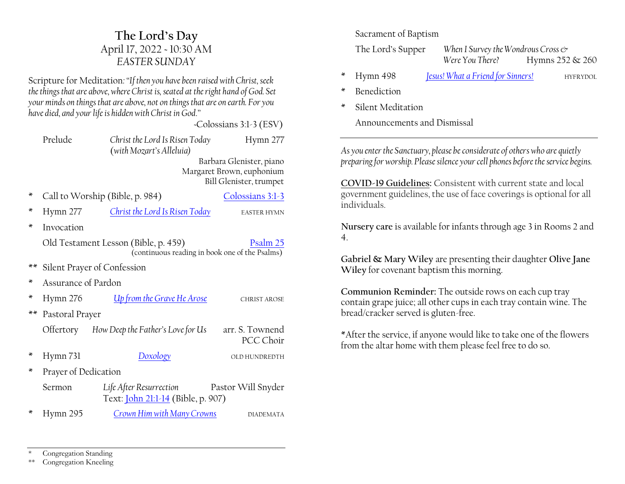# **The Lord·s Day** April 17, 2022 ~ 10:30 AM *EASTER SUNDAY*

Scripture for Meditation*:´If then you have been raised with Christ, seek the things that are above, where Christ is, seated at the right hand of God. Set your minds on things that are above, not on things that are on earth. For you have died, and your life is hidden with Christ in God.*"

 *~*Colossians 3:1-3 (ESV)

|      | Prelude                                                                                            | Christ the Lord Is Risen Today<br>(with Mozart's Alleluia)           | Hymn 277                                                                         |  |  |  |
|------|----------------------------------------------------------------------------------------------------|----------------------------------------------------------------------|----------------------------------------------------------------------------------|--|--|--|
|      |                                                                                                    |                                                                      | Barbara Glenister, piano<br>Margaret Brown, euphonium<br>Bill Glenister, trumpet |  |  |  |
| ×    | Call to Worship (Bible, p. 984)<br>Colossians 3:1-3                                                |                                                                      |                                                                                  |  |  |  |
| ×    | Hymn 277                                                                                           | <b>Christ the Lord Is Risen Today</b><br><b>EASTER HYMN</b>          |                                                                                  |  |  |  |
| ×    | Invocation                                                                                         |                                                                      |                                                                                  |  |  |  |
|      | Old Testament Lesson (Bible, p. 459)<br>Psalm 25<br>(continuous reading in book one of the Psalms) |                                                                      |                                                                                  |  |  |  |
| $**$ | Silent Prayer of Confession                                                                        |                                                                      |                                                                                  |  |  |  |
| ×    | Assurance of Pardon                                                                                |                                                                      |                                                                                  |  |  |  |
| ×    | Hymn 276                                                                                           | Up from the Grave He Arose                                           | <b>CHRIST AROSE</b>                                                              |  |  |  |
| $**$ | Pastoral Prayer                                                                                    |                                                                      |                                                                                  |  |  |  |
|      |                                                                                                    | Offertory How Deep the Father's Love for Us                          | arr. S. Townend<br>PCC Choir                                                     |  |  |  |
| ∗    | Hymn 731                                                                                           | <b>Doxology</b>                                                      | OLD HUNDREDTH                                                                    |  |  |  |
| ×    | Prayer of Dedication                                                                               |                                                                      |                                                                                  |  |  |  |
|      | Sermon                                                                                             | Life After Resurrection<br>Text: <i>John 21:1-14</i> (Bible, p. 907) | Pastor Will Snyder                                                               |  |  |  |
| ×    | Hymn 295                                                                                           | Crown Him with Many Crowns                                           | <b>DIADEMATA</b>                                                                 |  |  |  |

#### Sacrament of Baptism

The Lord's Supper *When I Survey the Wondrous Cross*  $\circ$ *Were You There?* Hymns 252 & 260

- \* Hymn 498 *[Jesus! What a Friend for Sinners!](https://hymnary.org/hymn/TH1990/498)* HYFRYDOL
- **Benediction**
- Silent Meditation

Announcements and Dismissal

*As you enter the Sanctuary, please be considerate of others who are quietly preparing for worship. Please silence your cell phones before the service begins.*

**COVID-19 Guidelines:** Consistent with current state and local government guidelines, the use of face coverings is optional for all individuals.

**Nursery care** is available for infants through age 3 in Rooms 2 and 4.

**Gabriel & Mary Wiley** are presenting their daughter **Olive Jane Wiley** for covenant baptism this morning.

**Communion Reminder:** The outside rows on each cup tray contain grape juice; all other cups in each tray contain wine. The bread/cracker served is gluten-free.

\*After the service, if anyone would like to take one of the flowers from the altar home with them please feel free to do so.

Congregation Standing

\*\* Congregation Kneeling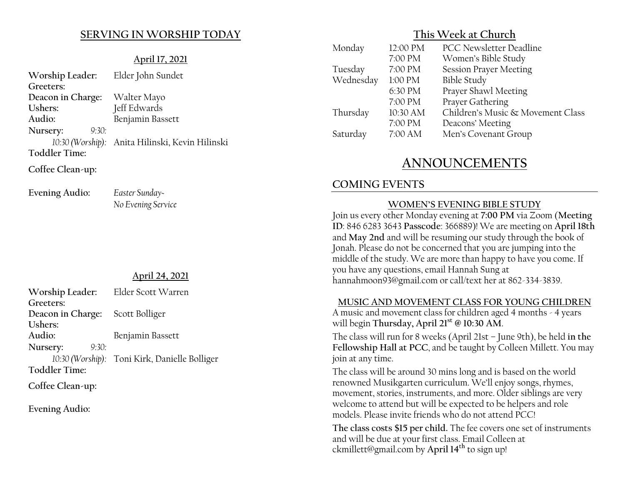## **SERVING IN WORSHIP TODAY**

#### **April 17, 2021**

| Worship Leader:               | Elder John Sundet                               |
|-------------------------------|-------------------------------------------------|
| Greeters:                     |                                                 |
| Deacon in Charge: Walter Mayo |                                                 |
| Ushers:                       | Jeff Edwards                                    |
| Audio:                        | Benjamin Bassett                                |
| 9:30:<br>Nursery:             |                                                 |
|                               | 10:30 (Worship): Anita Hilinski, Kevin Hilinski |
| <b>Toddler Time:</b>          |                                                 |
| Coffee Clean-up:              |                                                 |

**Evening Audio:** *Easter Sunday~*

*No Evening Service*

#### **April 24, 2021**

| Worship Leader:                  | Elder Scott Warren                            |
|----------------------------------|-----------------------------------------------|
| Greeters:                        |                                               |
| Deacon in Charge: Scott Bolliger |                                               |
| Ushers:                          |                                               |
| Audio:                           | Benjamin Bassett                              |
| Nursery:<br>9:30:                |                                               |
|                                  | 10:30 (Worship): Toni Kirk, Danielle Bolliger |
| <b>Toddler Time:</b>             |                                               |

**Coffee Clean-up:**

**Evening Audio:**

## **This Week at Church**

| Monday    | 12:00 PM  | <b>PCC Newsletter Deadline</b>    |
|-----------|-----------|-----------------------------------|
|           | 7:00 PM   | Women's Bible Study               |
| Tuesday   | 7:00 PM   | <b>Session Prayer Meeting</b>     |
| Wednesday | $1:00$ PM | <b>Bible Study</b>                |
|           | 6:30 PM   | Prayer Shawl Meeting              |
|           | 7:00 PM   | Prayer Gathering                  |
| Thursday  | 10:30 AM  | Children's Music & Movement Class |
|           | 7:00 PM   | Deacons' Meeting                  |
| Saturday  | 7:00 AM   | Men's Covenant Group              |

# **ANNOUNCEMENTS**

# **COMING EVENTS**

#### **WOMEN'S EVENING BIBLE STUDY**

Join us every other Monday evening at **7:00 PM** via Zoom (**Meeting ID**: 846 6283 3643 **Passcode**: 366889)! We are meeting on **April 18th** and **May 2nd** and will be resuming our study through the book of Jonah. Please do not be concerned that you are jumping into the middle of the study. We are more than happy to have you come. If you have any questions, email Hannah Sung at hannahmoon93@gmail.com or call/text her at 862-334-3839.

#### **MUSIC AND MOVEMENT CLASS FOR YOUNG CHILDREN**

A music and movement class for children aged 4 months - 4 years will begin **Thursday, April 21st @ 10:30 AM**.

The class will run for 8 weeks (April 21st - June 9th), be held in the **Fellowship Hall at PCC**, and be taught by Colleen Millett. You may join at any time.

The class will be around 30 mins long and is based on the world renowned Musikgarten curriculum. We'll enjoy songs, rhymes, movement, stories, instruments, and more. Older siblings are very welcome to attend but will be expected to be helpers and role models. Please invite friends who do not attend PCC!

**The class costs \$15 per child.** The fee covers one set of instruments and will be due at your first class. Email Colleen at ckmillett@gmail.com by **April 14th** to sign up!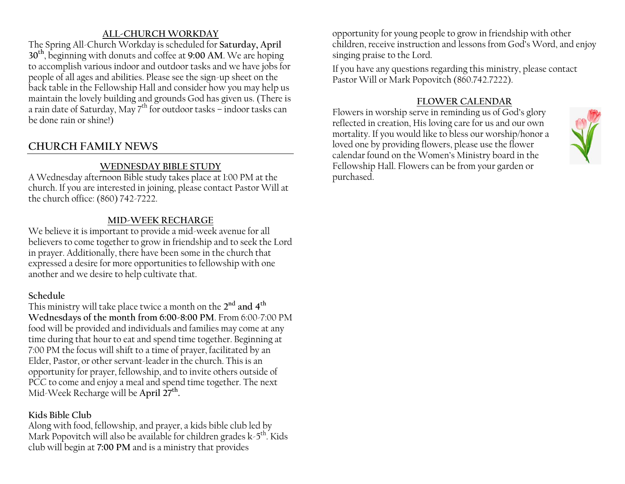### **ALL-CHURCH WORKDAY**

The Spring All-Church Workday is scheduled for **Saturday, April 30th**, beginning with donuts and coffee at **9:00 AM**. We are hoping to accomplish various indoor and outdoor tasks and we have jobs for people of all ages and abilities. Please see the sign-up sheet on the back table in the Fellowship Hall and consider how you may help us maintain the lovely building and grounds God has given us. (There is a rain date of Saturday, May  $7<sup>th</sup>$  for outdoor tasks  $-$  indoor tasks can be done rain or shine!)

# **CHURCH FAMILY NEWS**

## **WEDNESDAY BIBLE STUDY**

A Wednesday afternoon Bible study takes place at 1:00 PM at the church. If you are interested in joining, please contact Pastor Will at the church office: (860) 742-7222.

## **MID-WEEK RECHARGE**

We believe it is important to provide a mid-week avenue for all believers to come together to grow in friendship and to seek the Lord in prayer. Additionally, there have been some in the church that expressed a desire for more opportunities to fellowship with one another and we desire to help cultivate that.

#### **Schedule**

This ministry will take place twice a month on the **2nd and 4th Wednesdays of the month from 6:00-8:00 PM**. From 6:00-7:00 PM food will be provided and individuals and families may come at any time during that hour to eat and spend time together. Beginning at 7:00 PM the focus will shift to a time of prayer, facilitated by an Elder, Pastor, or other servant-leader in the church. This is an opportunity for prayer, fellowship, and to invite others outside of PCC to come and enjoy a meal and spend time together. The next Mid-Week Recharge will be **April 27th.**

## **Kids Bible Club**

Along with food, fellowship, and prayer, a kids bible club led by Mark Popovitch will also be available for children grades  $k-5^{th}$ . Kids club will begin at **7:00 PM** and is a ministry that provides

opportunity for young people to grow in friendship with other children, receive instruction and lessons from God's Word, and enjoy singing praise to the Lord.

If you have any questions regarding this ministry, please contact Pastor Will or Mark Popovitch (860.742.7222).

#### **FLOWER CALENDAR**

Flowers in worship serve in reminding us of God's glory reflected in creation, His loving care for us and our own mortality. If you would like to bless our worship/honor a loved one by providing flowers, please use the flower calendar found on the Women's Ministry board in the Fellowship Hall. Flowers can be from your garden or purchased.